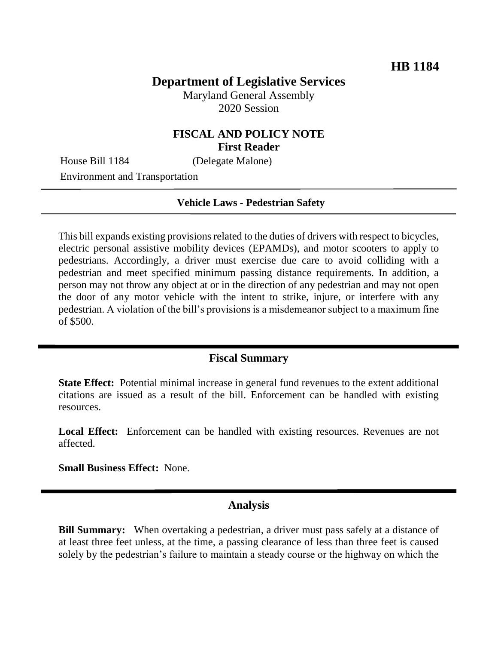# **Department of Legislative Services**

Maryland General Assembly 2020 Session

## **FISCAL AND POLICY NOTE First Reader**

House Bill 1184 (Delegate Malone)

Environment and Transportation

#### **Vehicle Laws - Pedestrian Safety**

This bill expands existing provisions related to the duties of drivers with respect to bicycles, electric personal assistive mobility devices (EPAMDs), and motor scooters to apply to pedestrians. Accordingly, a driver must exercise due care to avoid colliding with a pedestrian and meet specified minimum passing distance requirements. In addition, a person may not throw any object at or in the direction of any pedestrian and may not open the door of any motor vehicle with the intent to strike, injure, or interfere with any pedestrian. A violation of the bill's provisions is a misdemeanor subject to a maximum fine of \$500.

### **Fiscal Summary**

**State Effect:** Potential minimal increase in general fund revenues to the extent additional citations are issued as a result of the bill. Enforcement can be handled with existing resources.

**Local Effect:** Enforcement can be handled with existing resources. Revenues are not affected.

**Small Business Effect:** None.

### **Analysis**

**Bill Summary:** When overtaking a pedestrian, a driver must pass safely at a distance of at least three feet unless, at the time, a passing clearance of less than three feet is caused solely by the pedestrian's failure to maintain a steady course or the highway on which the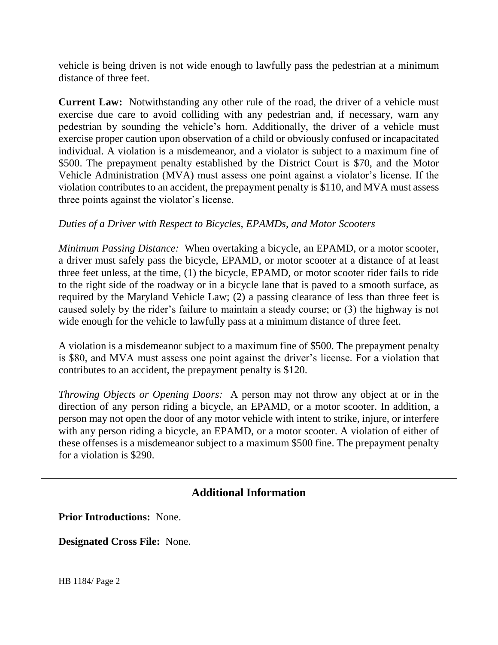vehicle is being driven is not wide enough to lawfully pass the pedestrian at a minimum distance of three feet.

**Current Law:** Notwithstanding any other rule of the road, the driver of a vehicle must exercise due care to avoid colliding with any pedestrian and, if necessary, warn any pedestrian by sounding the vehicle's horn. Additionally, the driver of a vehicle must exercise proper caution upon observation of a child or obviously confused or incapacitated individual. A violation is a misdemeanor, and a violator is subject to a maximum fine of \$500. The prepayment penalty established by the District Court is \$70, and the Motor Vehicle Administration (MVA) must assess one point against a violator's license. If the violation contributes to an accident, the prepayment penalty is \$110, and MVA must assess three points against the violator's license.

## *Duties of a Driver with Respect to Bicycles, EPAMDs, and Motor Scooters*

*Minimum Passing Distance:* When overtaking a bicycle, an EPAMD, or a motor scooter, a driver must safely pass the bicycle, EPAMD, or motor scooter at a distance of at least three feet unless, at the time, (1) the bicycle, EPAMD, or motor scooter rider fails to ride to the right side of the roadway or in a bicycle lane that is paved to a smooth surface, as required by the Maryland Vehicle Law; (2) a passing clearance of less than three feet is caused solely by the rider's failure to maintain a steady course; or (3) the highway is not wide enough for the vehicle to lawfully pass at a minimum distance of three feet.

A violation is a misdemeanor subject to a maximum fine of \$500. The prepayment penalty is \$80, and MVA must assess one point against the driver's license. For a violation that contributes to an accident, the prepayment penalty is \$120.

*Throwing Objects or Opening Doors:* A person may not throw any object at or in the direction of any person riding a bicycle, an EPAMD, or a motor scooter. In addition, a person may not open the door of any motor vehicle with intent to strike, injure, or interfere with any person riding a bicycle, an EPAMD, or a motor scooter. A violation of either of these offenses is a misdemeanor subject to a maximum \$500 fine. The prepayment penalty for a violation is \$290.

# **Additional Information**

**Prior Introductions:** None.

**Designated Cross File:** None.